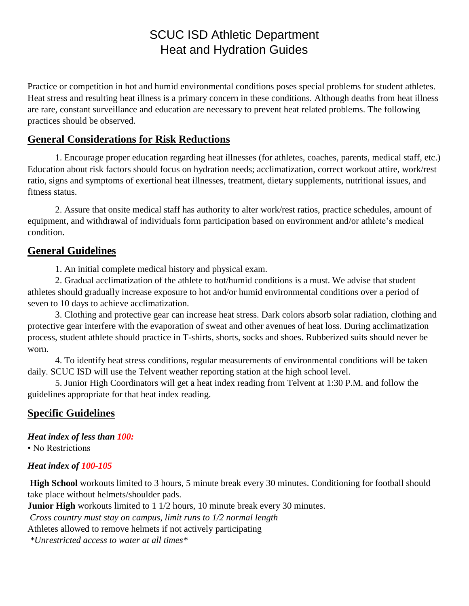# SCUC ISD Athletic Department Heat and Hydration Guides

Practice or competition in hot and humid environmental conditions poses special problems for student athletes. Heat stress and resulting heat illness is a primary concern in these conditions. Although deaths from heat illness are rare, constant surveillance and education are necessary to prevent heat related problems. The following practices should be observed.

## **General Considerations for Risk Reductions**

1. Encourage proper education regarding heat illnesses (for athletes, coaches, parents, medical staff, etc.) Education about risk factors should focus on hydration needs; acclimatization, correct workout attire, work/rest ratio, signs and symptoms of exertional heat illnesses, treatment, dietary supplements, nutritional issues, and fitness status.

2. Assure that onsite medical staff has authority to alter work/rest ratios, practice schedules, amount of equipment, and withdrawal of individuals form participation based on environment and/or athlete's medical condition.

## **General Guidelines**

1. An initial complete medical history and physical exam.

2. Gradual acclimatization of the athlete to hot/humid conditions is a must. We advise that student athletes should gradually increase exposure to hot and/or humid environmental conditions over a period of seven to 10 days to achieve acclimatization.

3. Clothing and protective gear can increase heat stress. Dark colors absorb solar radiation, clothing and protective gear interfere with the evaporation of sweat and other avenues of heat loss. During acclimatization process, student athlete should practice in T-shirts, shorts, socks and shoes. Rubberized suits should never be worn.

4. To identify heat stress conditions, regular measurements of environmental conditions will be taken daily. SCUC ISD will use the Telvent weather reporting station at the high school level.

5. Junior High Coordinators will get a heat index reading from Telvent at 1:30 P.M. and follow the guidelines appropriate for that heat index reading.

## **Specific Guidelines**

*Heat index of less than 100:* • No Restrictions

#### *Heat index of 100-105*

**High School** workouts limited to 3 hours, 5 minute break every 30 minutes. Conditioning for football should take place without helmets/shoulder pads.

**Junior High** workouts limited to 1 1/2 hours, 10 minute break every 30 minutes.

*Cross country must stay on campus, limit runs to 1/2 normal length*

Athletes allowed to remove helmets if not actively participating

*\*Unrestricted access to water at all times\**